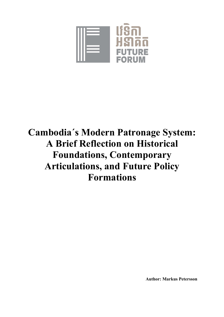

# **Cambodia´s Modern Patronage System: A Brief Reflection on Historical Foundations, Contemporary Articulations, and Future Policy Formations**

**Author: Markus Petersson**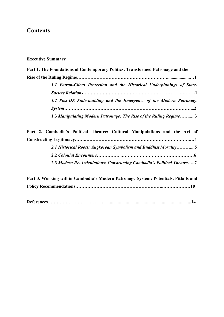# **Contents**

**Executive Summary**

| Part 1. The Foundations of Contemporary Politics: Transformed Patronage and the |  |  |  |  |
|---------------------------------------------------------------------------------|--|--|--|--|
|                                                                                 |  |  |  |  |
| 1.1 Patron-Client Protection and the Historical Underpinnings of State-         |  |  |  |  |
|                                                                                 |  |  |  |  |
| 1.2 Post-DK State-building and the Emergence of the Modern Patronage            |  |  |  |  |
|                                                                                 |  |  |  |  |
| 1.3 Manipulating Modern Patronage: The Rise of the Ruling Regime3               |  |  |  |  |
| Part 2. Cambodia's Political Theatre: Cultural Manipulations and the Art of     |  |  |  |  |
|                                                                                 |  |  |  |  |

| 2.1 Historical Roots: Angkorean Symbolism and Buddhist Morality5        |
|-------------------------------------------------------------------------|
|                                                                         |
| 2.3 Modern Re-Articulations: Constructing Cambodia's Political Theatre7 |

| Part 3. Working within Cambodia's Modern Patronage System: Potentials, Pitfalls and |  |  |
|-------------------------------------------------------------------------------------|--|--|
|                                                                                     |  |  |

|--|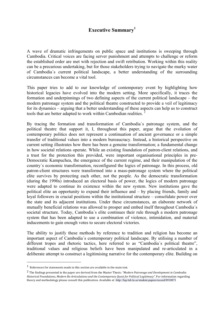## **Executive Summary<sup>1</sup>**

A wave of dramatic infringements on public space and institutions is sweeping through Cambodia. Critical voices are facing server punishment and attempts to challenge or reform the established order are met with rejection and swift retribution. Working within this reality can be a precarious undertaking, but for those stakeholders trying to navigate the murky water of Cambodia´s current political landscape, a better understanding of the surrounding circumstances can become a vital tool.

This paper tries to add to our knowledge of contemporary event by highlighting how historical legacies have evolved into the modern setting. More specifically, it traces the formation and underpinnings of two defining aspects of the current political landscape – the modern patronage system and the political theatre constructed to provide a veil of legitimacy for its dynamics – arguing that a better understanding of these aspects can help us to construct tools that are better adapted to work within Cambodian realities. <sup>2</sup>

By tracing the formation and transformation of Cambodia´s patronage system, and the political theatre that support it, I, throughout this paper, argue that the evolution of contemporary politics does not represent a continuation of ancient governance or a simple transfer of traditional values into a modern bureaucracy. Instead, a historical perspective on current setting illustrates how there has been a genuine transformation; a fundamental change in how societal relations operate. While an existing foundation of patron-client relations, and a trust for the protection this provided, were important organisational principles in pre-Democratic Kampuchea, the emergence of the current regime, and their manipulation of the country´s economic transformation, reconfigured the logics of patronage. In this process, old patron-client structures were transformed into a mass-patronage system where the political elite survives by protecting each other, not the people. As the democratic transformation (during the 1990s) introduced an electoral basis of power, the logics of modern patronage were adapted to continue its existence within the new system. New institutions gave the political elite an opportunity to expand their influence and – by placing friends, family and loyal followers in crucial positions within the institutional structure – consolidate power over the state and its adjacent institutions. Under these circumstances, an elaborate network of mutually beneficial relations was allowed to prosper and embed itself throughout Cambodia´s societal structure. Today, Cambodia´s elite continues their rule through a modern patronage system that has been adapted to use a combination of violence, intimidation, and material inducements to gain enough votes to secure electoral victories.

The ability to justify these methods by reference to tradition and religion has become an important aspect of Cambodia´s contemporary political landscape. By utilising a number of different tropes and rhetoric tactics, here referred to as "Cambodia´s political theatre", traditional values and religious beliefs have been manipulated and re-articulated in a deliberate attempt to construct a legitimising narrative for the contemporary elite. Building on

 

 $^1$  References for statements made in this section are available in the main text.

<sup>&</sup>lt;sup>2</sup> The findings presented in the paper are derived from the Master Thesis: "Modern Patronage and Development in Cambodia: Historical Foundations, Modern Re-Articulations and the Contemporary Quest for Political Legitimacy". For information regarding theory and methodology please consult this publication. Available at: http://lup.lub.lu.se/student-papers/record/8910871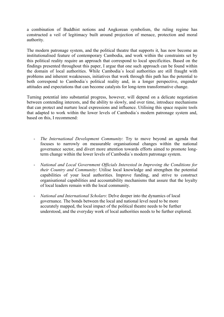a combination of Buddhist notions and Angkorean symbolism, the ruling regime has constructed a veil of legitimacy built around projection of menace, protection and moral authority.

The modern patronage system, and the political theatre that supports it, has now become an institutionalised feature of contemporary Cambodia, and work within the constraints set by this political reality require an approach that correspond to local specificities. Based on the findings presented throughout this paper, I argue that one such approach can be found within the domain of local authorities. While Cambodia´s local authorities are still fraught with problems and inherent weaknesses, initiatives that work through this path has the potential to both correspond to Cambodia´s political reality and, in a longer perspective, engender attitudes and expectations that can become catalysts for long-term transformative change.

Turning potential into substantial progress, however, will depend on a delicate negotiation between contending interests, and the ability to slowly, and over time, introduce mechanisms that can protect and nurture local expressions and influence. Utilising this space require tools that adapted to work within the lower levels of Cambodia´s modern patronage system and, based on this, I recommend:

- *The International Development Community*: Try to move beyond an agenda that focuses to narrowly on measurable organisational changes within the national governance sector, and divert more attention towards efforts aimed to promote longterm change within the lower levels of Cambodia´s modern patronage system.
- *National and Local Government Officials Interested in Improving the Conditions for their Country and Community*: Utilise local knowledge and strengthen the potential capabilities of your local authorities. Improve funding, and strive to construct organisational capabilities and accountability mechanisms that assure that the loyalty of local leaders remain with the local community.
- *National and International Scholars*: Delve deeper into the dynamics of local governance. The bonds between the local and national level need to be more accurately mapped, the local impact of the political theatre needs to be further understood, and the everyday work of local authorities needs to be further explored.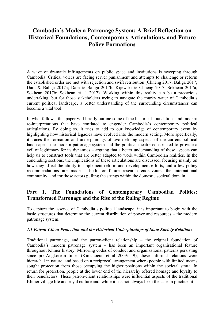# **Cambodia´s Modern Patronage System: A Brief Reflection on Historical Foundations, Contemporary Articulations, and Future Policy Formations**

A wave of dramatic infringements on public space and institutions is sweeping through Cambodia. Critical voices are facing server punishment and attempts to challenge or reform the established order are met with rejection and swift retribution (Chheng 2017; Baliga 2017; Dara & Baliga 2017a; Dara & Baliga 2017b; Kijewski & Chheng 2017; Sokhean 2017a; Sokhean 2017b; Sokhean et al 2017). Working within this reality can be a precarious undertaking, but for those stakeholders trying to navigate the murky water of Cambodia´s current political landscape, a better understanding of the surrounding circumstances can become a vital tool.

In what follows, this paper will briefly outline some of the historical foundations and modern re-interpretations that have conflated to engender Cambodia´s contemporary political articulations. By doing so, it tries to add to our knowledge of contemporary event by highlighting how historical legacies have evolved into the modern setting. More specifically, it traces the formation and underpinnings of two defining aspects of the current political landscape – the modern patronage system and the political theatre constructed to provide a veil of legitimacy for its dynamics – arguing that a better understanding of these aspects can help us to construct tools that are better adapted to work within Cambodian realities. In the concluding sections, the implications of these articulations are discussed, focusing mainly on how they affect the ability to implement reform and development efforts, and a few policy recommendations are made – both for future research endeavours, the international community, and for those actors pulling the strings within the domestic societal domain.

### **Part 1. The Foundations of Contemporary Cambodian Politics: Transformed Patronage and the Rise of the Ruling Regime**

To capture the essence of Cambodia´s political landscape, it is important to begin with the basic structures that determine the current distribution of power and resources – the modern patronage system.

#### *1.1 Patron-Client Protection and the Historical Underpinnings of State-Society Relations*

Traditional patronage, and the patron-client relationship – the original foundation of Cambodia´s modern patronage system – has been an important organisational feature throughout Khmer history. Mirroring codes of conduct and organisational patterns persisting since pre-Angkorean times (Kimchoeun et al 2009: 49), these informal relations were hierarchal in nature, and based on a reciprocal arrangement where people with limited means sought protection from those occupying the higher positions within the societal strata. In return for protection, people at the lower end of the hierarchy offered homage and loyalty to their benefactors. These patron-client relationships were influential aspects of the traditional Khmer village life and royal culture and, while it has not always been the case in practice, it is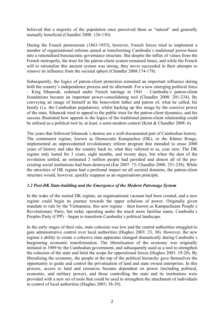believed that a majority of the population once perceived them as "natural" and generally mutually beneficial (Chandler 2008: 126-130).

During the French protectorate (1863-1953), however, French forces tried to implement a number of organisational reforms aimed at transforming Cambodia´s traditional power-basis into a rationalised bureaucratic governance structure. But despite the influx of values from the French metropolis, the trust for the patron-client system remained intact, and while the French will to rationalise this ancient system was strong, they never succeeded in their attempts to remove its influence from the societal sphere (Chandler 2008:174-178).

Subsequently, the logics of patron-client protection remained an important influence during both the country's independence process and its aftermath. For a new emerging political force – King Sihanouk, ordained under French tutelage in 1941 – Cambodia´s patron-client foundations became an important power-consolidating tool (Chandler 2008: 201-234). By conveying an image of himself as the benevolent father and patron of, what he called, his family (i.e. the Cambodian population), whilst backing up this image by the coercive power of the state, Sihanouk tried to appeal to the public trust for the patron-client dynamics, and his success illustrated how appeals to the logics of the traditional patron-client relationship could be utilised as a political tool in, at least, a semi-modern context (Kent & Chandler 2008: 6).

The years that followed Sihanouk´s demise are a well-documented part of Cambodian history. The communist regime, known as Democratic Kampuchea (DK), or the Khmer Rouge, implemented an unprecedented revolutionary reform program that intended to erase 2000 years of history and take the country back to, what they referred to as, year zero. The DK regime only lasted for 3 years, eight months, and twenty days, but when the dust of the revolution settled, an estimated 2 million people had perished and almost all of the preexisting social institutions had been destroyed (Ear 2007: 73; Chandler 2008: 251-258). While the atrocities of DK regime had a profound impact on all societal domains, the patron-client structure would, however, quickly reappear as an organisations principle.

#### *1.2 Post-DK State-building and the Emergence of the Modern Patronage System*

In the wake of the ousted DK regime, an organisational vacuum had been created, and a new regime could begin its journey towards the upper echelons of power. Originally given mandate to rule by the Vietnamese, this new regime – then known as Kampucheans People´s Revolutionary Party, but today operating under the much more familiar name, Cambodia´s Peoples Party (CPP) – began to transform Cambodia´s political landscape.

In the early stages of their rule, state cohesion was low and the central authorities struggled to gain administrative control over local authorities (Hughes 2003: 23, 30). However, the new regime´s ability to create a cohesive state apparatus changed dramatically during Cambodia´s burgeoning economic transformation. The liberalisation of the economy was originally initiated in 1989 by the Cambodian government, and subsequently used as a tool to strengthen the cohesion of the state and limit the scope for oppositional forces (Hughes 2003: 19-20). By liberalising the economy, the people at the top of the political hierarchy gave themselves the opportunity to guide and control the privatisation of land and state owned enterprises. In this process, access to land and resources became dependent on power (including political, economic, and military power), and those controlling the state and its institutions were provided with a new set of tools that could be used to strengthen the attachment of individuals in control of local authorities (Hughes 2003: 38-39).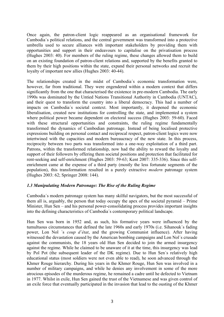Once again, the patron-client logic reappeared as an organisational framework for Cambodia´s political relations, and the central government was transformed into a protective umbrella used to secure alliances with important stakeholders by providing them with opportunities and support in their endeavours to capitalise on the privatisation process (Hughes 2003: 40). For members of the ruling regime, these changes allowed them to build on an existing foundation of patron-client relations and, supported by the benefits granted to them by their high positions within the state, expand their personal networks and recruit the loyalty of important new allies (Hughes 2003: 40-44).

The relationships created in the midst of Cambodia´s economic transformation were, however, far from traditional. They were engendered within a modern context that differs significantly from the one that characterised the existence in pre-modern Cambodia. The early 1990s was dominated by the Untied Nations Transitional Authority in Cambodia (UNTAC), and their quest to transform the country into a liberal democracy. This had a number of impacts on Cambodia´s societal context. Most importantly, it deepened the economic liberalisation, created new institutions for controlling the state, and implemented a system where political power became dependent on electoral success (Hughes 2003: 59-60). Faced with these structural opportunities and constraints, the ruling regime fundamentally transformed the dynamics of Cambodian patronage. Instead of being localised protective expressions building on personal contact and reciprocal respect, patron-client logics were now intertwined with the capacities and modern bureaucracy of the new state. In this process, reciprocity between two parts was transformed into a one-way exploitation of a third part. Patrons, within the transformed relationship, now had the ability to reward the loyalty and support of their followers by offering them societal positions and protection that facilitated for rent-seeking and self-enrichment (Hughes 2003: 59-63; Kent 2007: 335-336). Since this selfenrichment came at the expense of a third party (mostly the less fortunate segments of the population), this transformation resulted in a purely extractive *modern* patronage system (Hughes 2003: 62; Springer 2008: 144).

#### *1.3 Manipulating Modern Patronage: The Rise of the Ruling Regime*

Cambodia´s modern patronage system has many skilful navigators, but the most successful of them all is, arguably, the person that today occupy the apex of the societal pyramid – Prime Minister, Hun Sen – and his personal power-consolidating process provides important insights into the defining characteristics of Cambodia´s contemporary political landscape.

Hun Sen was born in 1952 and, as such, his formative years were influenced by the tumultuous circumstances that defined the late 1960s and early 1970s (i.e. Sihanouk´s fading power, Lon Nol ´s *coup d'état*, and the growing Communist influence). After having witnessed the devastation caused by the American bombing campaigns and Lon Nol's crusade against the communists, the 18 years old Hun Sen decided to join the armed insurgency against the regime. While he claimed to be unaware of it at the time, this insurgency was lead by Pol Pot (the subsequent leader of the DK regime). Due to Hun Sen´s relatively high educational status (most soldiers were not even able to read), he soon advanced through the Khmer Rouge hierarchy. During his years in the Khmer Rouge, Hun Sen was involved in a number of military campaigns, and while he denies any involvement in some of the more atrocious episodes of the murderous regime, he remained a cadre until he defected to Vietnam in 1977. Whilst in exile, Hun Sen gained the trust of the Vietnamese and was given control of an exile force that eventually participated in the invasion that lead to the ousting of the Khmer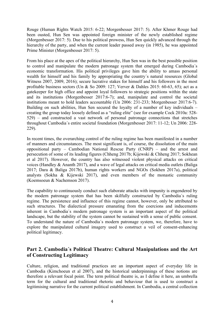Rouge (Human Rights Watch 2015: 6-22; Morgenbesser 2017: 5). After Khmer Rouge had been ousted, Hun Sen was appointed foreign minister of the newly established regime (Morgenbesser 2017: 5). Due to his political prowess, Hun Sen quickly advanced through the hierarchy of the party, and when the current leader passed away (in 1985), he was appointed Prime Minister (Morgenbesser 2017: 5).

From his place at the apex of the political hierarchy, Hun Sen was in the best possible position to control and manipulate the modern patronage system that emerged during Cambodia´s economic transformation. His political privileges gave him the ability to amass personal wealth for himself and his family by appropriating the country´s natural resources (Global Witness 2007, 2009, 2016); secure lucrative stakes for himself and his followers in the most profitable business sectors (Un & So 2009: 127; Verver & Dahles 2015: 60-63, 65); act as a gatekeeper for high office and appoint loyal followers to strategic positions within the state and its institutions (Morgenbesser 2017:6-7); and, manipulate and control the societal institutions meant to hold leaders accountable (Un 2006: 231-233; Morgenbesser 2017:6-7). Building on such abilities, Hun Sen secured the loyalty of a number of key individuals – creating the group today loosely defined as a "ruling elite" (see for example Cock 2010a: 528- 529) – and constructed a vast network of personal patronage connections that stretches throughout Cambodia´s entire societal foundation (Morgenbesser 2017: 11-12; Un 2006: 228- 229).

In recent times, the overarching control of the ruling regime has been manifested in a number of manners and circumstances. The most significant is, of course, the dissolution of the main oppositional party – Cambodian National Rescue Party (CNRP) – and the arrest and persecution of some of its leading figures (Chheng 2017b; Kijewski & Chheng 2017; Sokhean et al 2017). However, the country has also witnessed violent physical attacks on critical voices (Handley & Ananth 2017), and a wave of legal attacks on critical media outlets (Baliga 2017; Dara & Baliga 2017b), human rights workers and NGOs (Sokhen 2017a), political analysts (Sokha & Kijewski 2017), and even members of the monastic community (Koemsoeun & Nachemson 2017).

The capability to continuously conduct such elaborate attacks with impunity is engendered by the modern patronage system that has been skilfully constructed by Cambodia´s ruling regime. The persistence and influence of this regime cannot, however, only be attributed to such structures. The dialectical pressure emanating from the coercions and inducements inherent in Cambodia´s modern patronage system is an important aspect of the political landscape, but the stability of the system cannot be sustained with a sense of public consent. To understand the nature of Cambodia´s modern patronage system, we, therefore, have to explore the manipulated cultural imagery used to construct a veil of consent-enhancing political legitimacy.

## **Part 2. Cambodia´s Political Theatre: Cultural Manipulations and the Art of Constructing Legitimacy**

Culture, religion, and traditional practices are an important aspect of everyday life in Cambodia (Kimchoeun et al 2007), and the historical underpinnings of these notions are therefore a relevant focal point. The term political theatre is, as I define it here, an umbrella term for the cultural and traditional rhetoric and behaviour that is used to construct a legitimising narrative for the current political establishment. In Cambodia, a central collection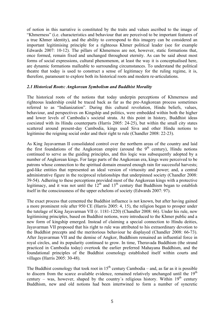of notion in this narrative is constituted by the traits and values ascribed to the image of "Khmerness" (i.e. characteristics and behaviour that are perceived to be important features of a true Khmer identity), and the ability to correspond to this imagery can be considered an important legitimising principle for a righteous Khmer political leader (see for example Edwards 2007: 10-12). The pillars of Khmerness are not, however, static formations that, once formed, remain fixed and unchanged throughout eternity. As can be said about most forms of social expressions, cultural phenomenon, at least the way it is conceptualised here, are dynamic formations malleable to surrounding circumstances. To understand the political theatre that today is used to construct a sense of legitimacy for the ruling regime, it is, therefore, paramount to explore both its historical roots and modern re-articulations.

#### *2.1 Historical Roots: Angkorean Symbolism and Buddhist Morality*

The historical roots of the notions that today underpin perceptions of Khmerness and righteous leadership could be traced back as far as the pre-Angkorean process sometimes referred to as "Indianization". During this cultural revolution, Hindu beliefs, values, behaviour, and perspectives on Kingship and politics, were embedded within both the higher and lower levels of Cambodia´s societal strata. At this point in history, Buddhist ideas coexisted with its Hindu counterparts (Harris 2005: 24-25), but within the small city states scattered around present-day Cambodia, kings used Siva and other Hindu notions to legitimise the reigning social order and their right to rule (Chandler 2008: 22-23).

As King Jayavarman II consolidated control over the northern areas of the country and laid the first foundations of the Angkorean empire (around the  $9<sup>th</sup>$  century), Hindu notions continued to serve as the guiding principles, and this logic was subsequently adopted by a number of Angkorean kings. For large parts of the Angkorean era, kings were perceived to be patrons whose connection to the spiritual domain ensured enough rain for successful harvests; god-like entities that represented an ideal version of virtuosity and power; and, a central administrative figure in the reciprocal relationships that underpinned society (Chandler 2008: 39-54). Adhering to these perceptions provided most of the Angkorean kings with a protective legitimacy, and it was not until the  $12<sup>th</sup>$  and  $13<sup>th</sup>$  century that Buddhism began to establish itself in the consciousness of the upper echelons of society (Edwards 2007: 97).

The exact process that cemented the Buddhist influence is not known, but after having gained a more prominent role after 950 CE (Harris 2005: 4, 15), the religion began to prosper under the tutelage of King Jayavarman VII (r. 1181-1220) (Chandler 2008: 66). Under his rule, new legitimising principles, based on Buddhist notions, were introduced to the Khmer public and a new form of kingship emerged. Instead of claiming a special connection to Hindu deities, Jayavarman VII proposed that his right to rule was attributed to his extraordinary devotion to the Buddhist precepts and the meritorious behaviour he displayed (Chandler 2008: 66-73). After Jayavarman VII and the demise of Angkor, Buddhism remained an influential force in royal circles, and its popularity continued to grow. In time, Theravada Buddhism (the strand practiced in Cambodia today) overtook the earlier preferred Mahayana Buddhism, and the foundational principles of the Buddhist cosmology established itself within courts and villages (Harris 2005: 30-48).

The Buddhist cosmology that took root in  $15<sup>th</sup>$  century Cambodia – and, as far as it is possible to discern from the scarce available evidence, remained relatively unchanged until the  $19<sup>th</sup>$ century – was, however, shaped by the country's religious history. Within  $19<sup>th</sup>$  century Buddhism, new and old notions had been intertwined to form a number of syncretic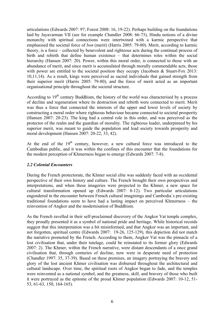articulations (Edwards 2007: 97; Forest 2008: 16, 19-22). Perhaps building on the foundations laid by Jayavarman VII (see for example Chandler 2008: 66-73), Hindu notions of a divine monarchy with spiritual connections were intertwined with a karmic perspective that emphasised the societal force of *bon* (merit) (Harris 2005: 79-80). Merit, according to karmic theory, is a force – collected by benevolent and righteous acts during the continual process of birth and rebirth that define human existence – that determines roles within the social hierarchy (Hansen 2007: 20). Power, within this moral order, is connected to those with an abundance of merit, and since merit is accumulated through morally commendable acts, those with power are entitled to the societal position they occupy (Jacobsen & Stuart-Fox 2013: 10,11,14). As a result, kings were perceived as sacred individuals that gained strength from their superior merit (Harris 2005: 79-80), and the force of merit acted as an important organisational principle throughout the societal structure.

According to  $19<sup>th</sup>$  century Buddhism, the history of the world was characterised by a process of decline and regeneration where its destruction and rebirth were connected to merit. Merit was thus a force that connected the interests of the upper and lower levels of society by constructing a moral order where righteous behaviour became connected to societal prosperity (Hansen 2007: 20-23). The king had a central role in this order, and was perceived as the protector of the realm and the guardian of morality. The righteous leader, underpinned by his superior merit, was meant to guide the population and lead society towards prosperity and moral development (Hansen 2007: 20-22, 33, 42).

At the end of the  $19<sup>th</sup>$  century, however, a new cultural force was introduced to the Cambodian public, and it was within the confines of this encounter that the foundations for the modern perception of Khmerness began to emerge (Edwards 2007: 7-8).

#### *2.2 Colonial Encounters*

During the French protectorate, the Khmer social elite was suddenly faced with an occidental perspective of their own history and culture. The French brought their own perspectives and interpretations, and when these imageries were projected to the Khmer, a new space for cultural transformation opened up (Edwards 2007: 8-12). Two particular articulations engendered in the encounter between French cultural imaginings and Cambodia´s pre-existing traditional foundations seem to have had a lasting impact on perceived Khmerness – the reinvention of Angkor and the modernisation of Buddhism.

As the French ravelled in their self-proclaimed discovery of the Angkor Vat temple complex, they proudly presented it as a symbol of national pride and heritage. While historical records suggest that this interpretation was a bit misinformed, and that Angkor was an important, and not forgotten, spiritual centre (Edwards 2007: 19-26, 125-129), this depiction did not match the narrative promoted by the French. According to them, Angkor Vat was the pinnacle of a lost civilisation that, under their tutelage, could be reinstated to its former glory (Edwards 2007: 2). The Khmer, within the French narrative, were distant descendants of a once grand civilisation that, through centuries of decline, now were in desperate need of protection (Chandler 1997: 35, 37-39). Based on these premises, an imagery portraying the bravery and glory of the lost ancient Khmer civilisation was disbursed throughout the architectural and cultural landscape. Over time, the spiritual roots of Angkor began to fade, and the temples were reinvented as a national symbol, and the greatness, skill, and bravery of those who built it were portrayed as the epitome of the proud Khmer population (Edwards 2007: 10-12, 51- 53, 61-63, 150, 164-165).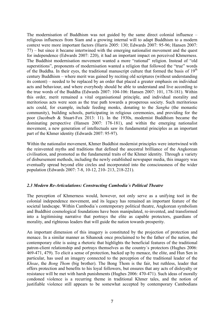The modernisation of Buddhism was not guided by the same direct colonial influence – religious influences from Siam and a growing internal will to adapt Buddhism to a modern context were more important factors (Harris 2005: 130; Edwards 2007: 95-96; Hansen 2007: 77) – but since it became intertwined with the emerging nationalist movement and the quest for independence (Edwards 2007: 220), it had an important impact on perceived Khmerness. The Buddhist modernisation movement wanted a more "rational" religion. Instead of "old superstitions", proponents of modernisation wanted a religion that followed the "true" words of the Buddha. In their eyes, the traditional manuscript culture that formed the basis of  $19<sup>th</sup>$ century Buddhism – where merit was gained by reciting old scriptures (without understanding its content) – needed to be replaced by an order that placed a greater emphasis on individual acts and behaviour, and where everybody should be able to understand and live according to the true words of the Buddha (Edwards 2007: 104-106: Hansen 2007: 101, 178-181). Within this order, merit remained a vital organisational principle, and individual morality and meritorious acts were seen as the true path towards a prosperous society. Such meritorious acts could, for example, include feeding monks, donating to the *Sangha* (the monastic community), building schools, participating in religious ceremonies, and providing for the poor (Jacobseb & Stuart-Fox 2013: 11). In the 1930s, modernist Buddhism became the dominating perspective (Hansen 2007: 178-181), and within the emerging nationalist movement, a new generation of intellectuals saw its fundamental principles as an important part of the Khmer identity (Edwards 2007: 95-97).

Within the nationalist movement, Khmer Buddhist modernist principles were intertwined with the reinvented myths and traditions that defined the ancestral brilliance of the Angkorean civilisation, and promoted as the fundamental traits of the Khmer identity. Through a variety of disbursement methods, including the newly established newspaper media, this imagery was eventually spread beyond elite circles and incorporated into the consciousness of the wider population (Edwards 2007: 7-8, 10-12, 210- 213, 218-221).

#### *2.3 Modern Re-Articulations: Constructing Cambodia´s Political Theatre*

The perception of Khmerness would, however, not only serve as a unifying tool in the colonial independence movement, and its legacy has remained an important feature of the societal landscape. Within Cambodia´s contemporary political theatre, Angkorean symbolism and Buddhist cosmological foundations have been manipulated, re-invented, and transformed into a legitimising narrative that portrays the elite as capable protectors, guardians of morality, and righteous leaders that will guide the nation towards prosperity.

An important dimension of this imagery is constituted by the projection of protection and menace. In a similar manner as Sihanouk once proclaimed to be the father of the nation, the contemporary elite is using a rhetoric that highlights the beneficial features of the traditional patron-client relationship and portrays themselves as the country´s protectors (Hughes 2006: 469-471, 479). To elicit a sense of protection, backed up by menace, the elite, and Hun Sen in particular, has used an imagery connected to the perception of the traditional leader of the *Khsae*, the *Bong Thom* (big brother). The Bong Thom is the fair, but ruthless, leader that offers protection and benefits to his loyal followers, but ensures that any acts of disloyalty or resistance will be met with harsh punishments (Hughes 2006: 470-471). Such ideas of morally condoned violence is a recurring theme in traditional Khmer tales, and the notion of justifiable violence still appears to be somewhat accepted by contemporary Cambodians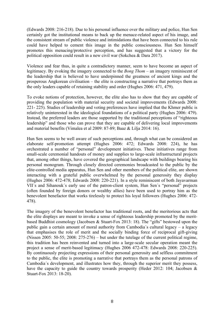(Edwards 2008: 216-218). Due to his personal influence over the military and police, Hun Sen certainly got the institutional means to back up the menace-related aspect of his image, and the consistent stream of public violence and intimidations that have been connected to his rule could have helped to cement this image in the public consciousness. Hun Sen himself promotes this menacing/protective perception, and has suggested that a victory for the political opposition could result in a new civil war (Sokchea & Dara 2017).

Violence and fear thus, in quite a contradictory manner, seem to have become an aspect of legitimacy. By evoking the imagery connected to the *Bong Thom* – an imagery reminiscent of the leadership that is believed to have underpinned the greatness of ancient kings and the prosperous Angkorean civilisation – the elite is constructing a narrative that portrays them as the only leaders capable of retaining stability and order (Hughes 2006: 471, 479).

To evoke notions of protection, however, the elite also has to show that they are capable of providing the population with material security and societal improvements (Edwards 2008: 221- 225). Studies of leadership and voting preferences have implied that the Khmer public is relatively uninterested in the ideological foundations of a political party (Hughes 2006: 479). Instead, the preferred leaders are those supported by the traditional perceptions of "righteous leadership" and those who can prove that they are capable of delivering local improvements and material benefits (Vimalea et al 2009: 87-89; Baaz & Lilja 2014: 16).

Hun Sen seems to be well aware of such perceptions and, through what can be considered an elaborate self-promotion attempt (Hughes 2006: 472; Edwards 2008: 224), he has orchestrated a number of "personal" development initiatives. These initiatives range from small-scale ceremonial handouts of money and supplies to large-scale infrastructural projects that, among other things, have covered the geographical landscape with buildings bearing his personal monogram. Through closely directed ceremonies broadcasted to the public by the elite-controlled media apparatus, Hun Sen and other members of the political elite, are shown interacting with a grateful public overwhelmed by the personal generosity they display (Hughes 2006: 472-478; Edwards 2008: 220-221). In a style reminiscent of both Jayavarman VII´s and Sihanouk´s early use of the patron-client system, Hun Sen´s "personal" projects (often founded by foreign donors or wealthy allies) have been used to portray him as the benevolent benefactor that works tirelessly to protect his loyal followers (Hughes 2006: 472- 478).

The imagery of the benevolent benefactor has traditional roots, and the meritorious acts that the elite displays are meant to invoke a sense of righteous leadership promoted by the meritbased Buddhist cosmology (Jacobsen & Stuart-Fox 2013: 18). The "gifts" bestowed upon the public gain a certain amount of moral authority from Cambodia´s cultural legacy – a legacy that emphasises the role of merit and the socially binding force of reciprocal gift-giving (Nissen 2005: 50-55; 2008: 275-276) – but under the tutelage of the current political regime, this tradition has been reinvented and turned into a large-scale secular operation meant the project a sense of merit-based legitimacy (Hughes 2006 472-478: Edwards 2008: 220-225). By continuously projecting expressions of their personal generosity and selfless commitment to the public, the elite is promoting a narrative that portrays them as the personal patrons of Cambodia´s development, and illustrates how they, through the superior merit they possess, have the capacity to guide the country towards prosperity (Heder 2012: 104; Jacobsen & Stuart-Fox 2013: 18-20).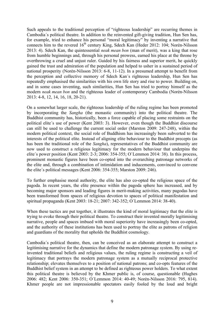Such appeals to the traditional perception of "righteous leadership" are recurring themes in Cambodia´s political theatre. In addition to the reinvented gift-giving tradition, Hun Sen has, for example, tried to enhance his personal "moral legitimacy" by inventing a narrative that connects him to the revered  $16<sup>th</sup>$  century King, Sdech Kan (Heder 2012: 104; Norén-Nilsson 2013: 4). Sdech Kan, the quintessential *neak mean bon* (man of merit), was a king that rose from humble beginnings and, through his personal prowess, earned his place at the throne by overthrowing a cruel and unjust ruler. Guided by his fairness and superior merit, he quickly gained the trust and admiration of the population and helped to usher in a sustained period of national prosperity (Norén-Nilsson 2013: 6-8, 11-12). In a presumed attempt to benefit from the perception and collective memory of Sdech Kan´s righteous leadership, Hun Sen has repeatedly emphasised the similarities with his own life story and rise to power. Building on, and in some cases inventing, such similarities, Hun Sen has tried to portray himself as the modern *neak mean bon* and the righteous leader of contemporary Cambodia (Norén-Nilsson 2013: 4-8, 12, 14, 16, 18, 20-21).

On a somewhat larger scale, the righteous leadership of the ruling regime has been promoted by incorporating the *Sangha* (the monastic community) into the political theatre. The Buddhist community has, historically, been a force capable of placing some restraints on the political elite´s use of power (Kent 2003: 3). However, even though the Buddhist discourse can still be used to challenge the current social order (Marston 2009: 247-248), within the modern political context, the social role of Buddhism has increasingly been subverted to the interests of the political elite. Instead of aligning elite behaviour to the Buddhist precepts (as has been the traditional role of the *Sangha*), representatives of the Buddhist community are now used to construct a religious legitimacy for the modern behaviour that underpins the elite´s power position (Kent 2003: 2-3; 2006: 354-355; O`Lemmon 2014: 38). In this process, prominent monastic figures have been co-opted into the overarching patronage networks of the elite and, through a combination of intimidation and inducements, convinced to convene the elite´s political messages (Kent 2006: 354-355; Marston 2009: 246).

To further emphasise moral authority, the elite has also co-opted the religious space of the pagoda. In recent years, the elite presence within the pagoda sphere has increased, and by becoming major sponsors and leading figures in merit-making activities, many pagodas have been transformed from spaces of religious devotion to spaces of political manifestation and spiritual propaganda (Kent 2003: 18-21; 2007: 342-352; O´Lemmon 2014: 38-40).

When these tactics are put together, it illustrates the kind of moral legitimacy that the elite is trying to evoke through their political theatre. To construct their invented morally legitimising narrative, people and spaces imbued with moral superiority have increasingly been co-opted, and the authority of these institutions has been used to portray the elite as patrons of religion and guardians of the morality that upholds the Buddhist cosmology.

Cambodia´s political theatre, then, can be conceived as an elaborate attempt to construct a legitimising narrative for the dynamics that define the modern patronage system. By using reinvented traditional beliefs and religious values, the ruling regime is constructing a veil of legitimacy that portrays the modern patronage system as a mutually reciprocal protective relationship; elevates themselves to a position of national patrons; and co-opts features of the Buddhist belief system in an attempt to be defined as righteous power holders. To what extent this political theatre is believed by the Khmer public is, of course, questionable (Hughes 2006: 482; Kent 2006: 350-351; O´Lemmon 2014: 40-49; Norén-Nilsson 2016: 795, 814). Khmer people are not impressionable spectators easily fooled by the loud and bright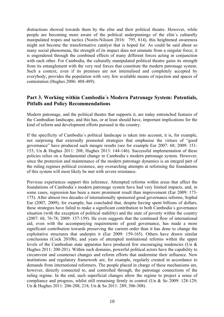distractions showed towards them by the elite and their political theatre. However, while people are becoming more aware of the political underpinnings of the elite´s culturally manipulated tropes and tactics (Norén-Nilsson 2016: 795, 814), this heightened awareness might not become the transformative catalyst that is hoped for. As could be said about so many social phenomena, the strength of its impact does not emanate from a singular force; it is engendered through the combined effects of many different forces acting in conjunction with each other. For Cambodia, the culturally manipulated political theatre gains its strength from its entanglement with the very real forces that constitute the modern patronage system. Such a context, even if its premises are not internalised and completely accepted by everybody, provides the population with very few available means of rejection and spaces of contestation (Hughes 2006: 488-489).

#### **Part 3. Working within Cambodia´s Modern Patronage System: Potentials, Pitfalls and Policy Recommendations**

Modern patronage, and the political theatre that supports it, are today entrenched features of the Cambodian landscape, and this has, or at least should have, important implications for the kind of reform and development efforts pursued in the country.

If the specificity of Cambodia´s political landscape is taken into account, it is, for example, not surprising that externally promoted strategies that emphasise the virtues of "good governance" have produced such meagre results (see for example Ear 2007: 68; 2009: 151- 153; Un & Hughes 2011: 208; Hughes 2013: 144-146). Successful implementation of these policies relies on a fundamental change in Cambodia´s modern patronage system. However, since the protection and maintenance of the modern patronage dynamics is an integral part of the ruling regimes political existence, any overarching attempts at reforming the foundations of this system will most likely be met with severe resistance.

Previous experiences support this inference. Attempted reforms within areas that affect the foundations of Cambodia´s modern patronage system have had very limited impacts, and, in some cases, regression has been a more prominent result than improvement (Ear 2009: 173- 175). After almost two decades of internationally sponsored good governance reforms, Sophal Ear (2007, 2009), for example, has concluded that, despite having spent billions of dollars, these strategies have failed to make a significant contribution to both Cambodia´s governance situation (with the exception of political stability) and the state of poverty within the country (2007: 68, 76-78; 2009: 157-159). He even suggests that the continued flow of international aid, even with the accompanying requirements of good governance, has made a more significant contribution towards preserving the current order than it has done to change the exploitative structures that underpin it (Ear 2009: 159-165). Others have drawn similar conclusions (Cock 2010b), and years of attempted institutional reforms within the upper levels of the Cambodian state apparatus have produced few encouraging tendencies (Un & Hughes 2011: 200-201). Within such domains, powerful political actors have the capability to circumvent and counteract changes and reform efforts that undermine their influence. New institutions and regulatory framework are, for example, regularly created in accordance to demands from international reformers. The people placed in charge of these mechanisms are, however, directly connected to, and controlled through, the patronage connections of the ruling regime. In the end, such superficial changes allow the regime to project a sense of compliance and progress, whilst still remaining firmly in control (Un & So 2009: 128-129; Un & Hughes 2011: 206-208, 218; Un & So 2011: 289, 306-308).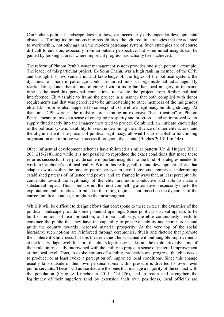Cambodia´s political landscape does not, however, necessarily only engender developmental obstacles. Turning its limitations into possibilities, though, require strategies that are adapted to work within, not only against, the modern patronage system. Such strategies are of course difficult to envision, especially from an outside perspective, but some initial insights can be gained by looking at areas where important progress has actually been achieved.

The reform of Phnom Penh´s water management system provides one such potential example. The leader of this particular project, Ek Sonn Chann, was a high ranking member of the CPP, and through his involvement in, and knowledge of, the logics of the political system, the dynamics of modern patronage could be turned into an organisational advantage. By rearticulating donor rhetoric and aligning it with a more familiar local imagery, at the same time as he used his personal connections to isolate the project from further political interference, Ek was able to frame the project in a manner that both complied with donor requirements and that was perceived to be unthreatening to other members of the indigenous elite. Ek´s reforms also happened to correspond to the elite´s legitimacy building strategy. At that time, CPP were in the midst of orchestrating an extensive "beautification" of Phnom Penh – meant to invoke a sense of emerging prosperity and progress – and an improved water supply fitted neatly into the imagery they tried to project. Combined, an intricate knowledge of the political system, an ability to avoid undermining the influence of other elite actors, and the alignment with the pursuit of political legitimacy, allowed Ek to establish a functioning organisation and improve water access throughout the capital (Hughes 2013: 146-148).

Other influential development schemes have followed a similar pattern (Un & Hughes 2011: 208, 215-218), and while it is not possible to reproduce the exact conditions that made these reforms successful, they provide some important insights into the kind of strategies needed to work in Cambodia´s political reality. Within this reality, reform and development efforts that adapt to work within the modern patronage system, avoid obvious attempts at undermining established patterns of influence and power, and are framed in ways that, at least perceptually, contribute toward the legitimacy of the elite, are more conductive and able to make a substantial impact. This is perhaps not the most compelling alternative – especially due to the exploitation and atrocities attributed to the ruling regime – but, based on the dynamics of the current political context, it might be the most pragmatic.

While it will be difficult to design efforts that correspond to these criteria, the dynamics of the political landscape provide some potential openings. Since political survival appears to be built on notions of fear, protection, and moral authority, the elite continuously needs to convince the public that they have the capability to preserve stability and moral order, and guide the country towards increased material prosperity. At the very top of the social hierarchy, such notions are reinforced through ceremonies, rituals and rhetoric that promote their inherent Khmerness, but this theatre cannot be sustained without tangible improvements at the local/village level. In short, the elite´s legitimacy is, despite the exploitative dynamic of their rule, intrinsically intertwined with the ability to project a sense of material improvement at the local level. Thus, to evoke notions of stability, protection and progress, the elite needs to produce, or at least evoke a perception of, improved local conditions. Since this change usually falls outside of their own personal domain, this pressure is diverted to lower level public servants. These local authorities are the ones that manage a majority of the contact with the population (Craig & Kimchoeun 2011: 224-226), and to retain and strengthen the legitimacy of their superiors (and by extension their own positions), local officials are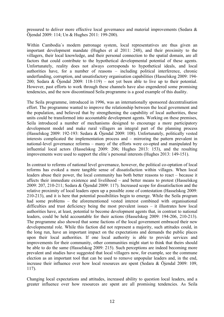pressured to deliver more effective local governance and material improvements (Sedara & Öjendal 2009: 114; Un & Hughes 2011: 199-200).

Within Cambodia´s modern patronage system, local representatives are thus given an important development mandate (Hughes et al 2011: 248), and their proximity to the villagers, their local knowledge, and their personal connection to the spatial domain, are all factors that could contribute to the hypothetical developmental potential of these agents. Unfortunately, reality does not always corresponds to hypothetical ideals, and local authorities have, for a number of reasons – including political interference, chronic underfunding, corruption, and unsatisfactory organisation capabilities (Hasselskog 2009: 194- 200; Sedara & Öjendal 2009: 118-119) – not yet been able to live up to their potential. However, past efforts to work through these channels have also engendered some promising tendencies, and the now discontinued Seila programme is a good example of this duality.

The Seila programme, introduced in 1996, was an internationally sponsored decentralisation effort. The programme wanted to improve the relationship between the local government and the population, and believed that by strengthening the capability of local authorities, these units could be transformed into accountable development agents. Working on these premises, Seila introduced a number of mechanisms designed to encourage a more participatory development model and make rural villagers an integral part of the planning process (Hasselskog 2009: 192-193: Sedara & Öjendal 2009: 108). Unfortunately, politically vested interests complicated the implementation process and – mirroring the pattern prevalent in national-level governance reforms – many of the efforts were co-opted and manipulated by influential local actors (Hasselskog 2009: 206; Hughes 2013: 153), and the resulting improvements were used to support the elite´s personal interests (Hughes 2013: 149-151).

In contrast to reforms of national level governance, however, the political co-optation of local reforms has evoked a more tangible sense of dissatisfaction within villages. When local leaders abuse their power, the local community has both better reasons to react – because it affects their immediate existence and livelihood – and better means to protest (Hasselskog 2009: 207, 210-211; Sedara & Öjendal 2009: 117). Increased scope for dissatisfaction and the relative proximity of local leaders open up a possible zone of contestation (Hasselskog 2009: 210-213), and it is here that potential possibilities begin to emerge. While the Seila program had some problems – the aforementioned vested interest combined with organisational difficulties and trust deficiency being the most prevalent issues – it illustrates how local authorities have, at least, potential to become development agents that, in contrast to national leaders, could be held accountable for their actions (Hasselskog 2009: 194-206, 210-213). The programme also showed that some factions of the local government embraced their new developmental role. While this faction did not represent a majority, such attitudes could, in the long run, have an important impact on the expectations and demands the public places upon their local authorities. If one local authority is able to provide services and improvements for their community, other communities might start to think that theirs should be able to do the same (Hasselskog 2009: 215). Such perceptions are indeed becoming more prevalent and studies have suggested that local villagers now, for example, see the commune election as an important tool that can be used to remove unpopular leaders and, in the end, increase their influence over how local resources are spent (Sedara & Öjendal 2009: 109, 117).

Changing local expectations and attitudes, increased ability to question local leaders, and a greater influence over how resources are spent are all promising tendencies. As Seila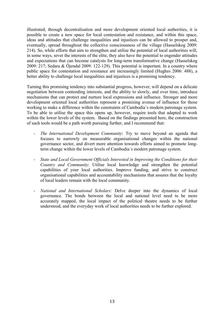illustrated, through decentralisation and more development oriented local authorities, it is possible to create a new space for local contestation and resistance, and within this space, ideas and attitudes that challenge inequalities and injustices can be allowed to prosper and, eventually, spread throughout the collective consciousness of the village (Hasselskog 2009: 214). So, while efforts that aim to strengthen and utilise the potential of local authorities will, in some ways, sever the interests of the elite, they also have the potential to engender attitudes and expectations that can become catalysts for long-term transformative change (Hasselskog 2009: 217; Sedara & Öjendal 2009: 122-129). This potential is important. In a country where public space for contestation and resistance are increasingly limited (Hughes 2006: 488), a better ability to challenge local inequalities and injustices is a promising tendency.

Turning this promising tendency into substantial progress, however, will depend on a delicate negotiation between contending interests, and the ability to slowly, and over time, introduce mechanisms that can protect and nurture local expressions and influence. Stronger and more development oriented local authorities represent a promising avenue of influence for those working to make a difference within the constraints of Cambodia´s modern patronage system. To be able to utilise the space this opens up, however, require tools that adapted to work within the lower levels of the system. Based on the findings presented here, the construction of such tools would be a path worth pursuing further, and I recommend that:

- *The International Development Community*: Try to move beyond an agenda that focuses to narrowly on measurable organisational changes within the national governance sector, and divert more attention towards efforts aimed to promote longterm change within the lower levels of Cambodia´s modern patronage system.
- *State and Local Government Officials Interested in Improving the Conditions for their Country and Community*: Utilise local knowledge and strengthen the potential capabilities of your local authorities. Improve funding, and strive to construct organisational capabilities and accountability mechanisms that assures that the loyalty of local leaders remain with the local community.
- *National and International Scholars*: Delve deeper into the dynamics of local governance. The bonds between the local and national level need to be more accurately mapped, the local impact of the political theatre needs to be further understood, and the everyday work of local authorities needs to be further explored.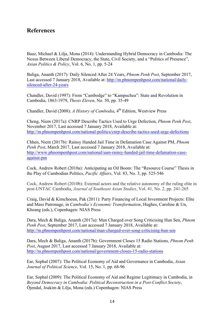## **References**

Baaz, Michael & Lilja, Mona (2014): Understanding Hybrid Democracy in Cambodia: The Nexus Between Liberal Democracy, the State, Civil Society, and a "Politics of Presence", *Asian Politics & Policy*, Vol. 6, No. 1, pp. 5-24

Baliga, Ananth (2017): Daily Silenced After 24 Years, *Phnom Penh Post*, September 2017, Last accessed 7 January 2018, Available at: http://m.phnompenhpost.com/national/dailysilenced-after-24-years

Chandler, David (1997): From "Cambodge" to "Kampuchea": State and Revolution in Cambodia, 1863-1979, *Thesis Eleven*, No. 50, pp. 35-49

Chandler, David (2008): *A History of Cambodia*, 4<sup>th</sup> Edition, Westview Press

Cheng, Niem (2017a): CNRP Describe Tactics Used to Urge Defection, *Phnom Penh Post*, November 2017, Last accessed 7 January 2018, Available at: http://m.phnompenhpost.com/national-politics/cnrp-describe-tactics-used-urge-defections

Chhen, Niem (2017b): Rainsy Handed Jail Time in Defamation Case Against PM, *Phnom Penh Post*, March 2017, Last accessed 7 January 2018, Available at: http://www.phnompenhpost.com/national/sam-rainsy-handed-jail-time-defamation-caseagainst-pm

Cock, Andrew Robert (2010a): Anticipating an Oil Boom: The "Resource Course" Thesis in the Play of Cambodian Politics, *Pacific Affairs*, Vol. 83, No. 3, pp. 525-546

Cock, Andrew Robert (2010b): External actors and the relative autonomy of the ruling elite in post-UNTAC Cambodia, *Journal of Southeast Asian Studies*, Vol. 41, No. 2, pp. 241-265

Craig, David & Kimchoeun, Pak (2011): Party Financing of Local Investment Projects: Elite and Mass Patronage, in *Cambodia´s Economic Transformation*, Hughes, Caroline & Un, Kheang (eds.), Copenhagen: NIAS Press

Dara, Mech & Baliga, Ananth (2017a): Man Charged over Song Criticising Hun Sen, *Phnom Penh Post*, September 2017, Last accessed 7 January 2018, Available at: http://m.phnompenhpost.com/national/man-charged-over-song-criticising-hun-sen

Dara, Mech & Baliga, Ananth (2017b): Government Closes 15 Radio Stations, *Phnom Penh Post*, August 2017, Last accessed 7 January 2018, Available at: http://m.phnompenhpost.com/national/government-closes-15-radio-stations

Ear, Sophal (2007): The Political Economy of Aid and Governance in Cambodia, *Asian Journal of Political Science*, Vol. 15, No. 1, pp. 68-96

Ear, Sophal (2009): The Political Economy of Aid and Regime Legitimacy in Cambodia, in *Beyond Democracy in Cambodia: Political Reconstruction in a Post-Conflict Society*, Öjendal, Joakim & Lilja, Mona (eds.) Copenhagen: NIAS Press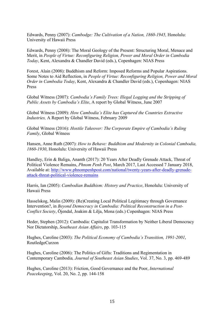Edwards, Penny (2007): *Cambodge: The Cultivation of a Nation, 1860-1945,* Honolulu: University of Hawaii Press

Edwards, Penny (2008): The Moral Geology of the Present: Structuring Moral, Menace and Merit, in *People of Virtue: Reconfiguring Religion, Power and Moral Order in Cambodia Today*, Kent, Alexandra & Chandler David (eds.), Copenhagen: NIAS Press

Forest, Alain (2008): Buddhism and Reform: Imposed Reforms and Popular Aspirations. Some Notes to Aid Reflection, in *People of Virtue: Reconfiguring Religion, Power and Moral Order in Cambodia Today*, Kent, Alexandra & Chandler David (eds.), Copenhagen: NIAS Press

Global Witness (2007): *Cambodia's Family Trees: Illegal Logging and the Stripping of Public Assets by Cambodia's Elite*, A report by Global Witness, June 2007

Global Witness (2009): *How Cambodia's Elite has Captured the Countries Extractive Industries,* A Report by Global Witness, February 2009

Global Witness (2016): *Hostile Takeover: The Corporate Empire of Cambodia´s Ruling Family*, Global Witness

Hansen, Anne Ruth (2007): *How to Behave: Buddhism and Modernity in Colonial Cambodia, 1860-1930*, Honolulu: University of Hawaii Press

Handley, Erin & Baliga, Ananth (2017): 20 Years After Deadly Grenade Attack, Threat of Political Violence Remains, *Phnom Penh Post*, March 2017, Last Accessed 7 January 2018, Available at: http://www.phnompenhpost.com/national/twenty-years-after-deadly-grenadeattack-threat-political-violence-remains

Harris, Ian (2005): *Cambodian Buddhism: History and Practice*, Honolulu: University of Hawaii Press

Hasselskog, Malin (2009): (Re)Creating Local Political Legitimacy through Governance Intervention?, in *Beyond Democracy in Cambodia: Political Reconstruction in a Post-Conflict Society*, Öjendal, Joakim & Lilja, Mona (eds.) Copenhagen: NIAS Press

Heder, Stephen (2012): Cambodia: Capitalist Transformation by Neither Liberal Democracy Nor Dictatorship, *Southeast Asian Affairs*, pp. 103-115

Hughes, Caroline (2003): *The Political Economy of Cambodia's Transition, 1991-2001*, RoutledgeCurzon

Hughes, Caroline (2006): The Politics of Gifts: Traditions and Regimentation in Contemporary Cambodia*, Journal of Southeast Asian Studies*, Vol. 37, No. 3, pp. 469-489

Hughes, Caroline (2013): Friction, Good Governance and the Poor, *International Peacekeeping*, Vol. 20, No. 2, pp. 144-158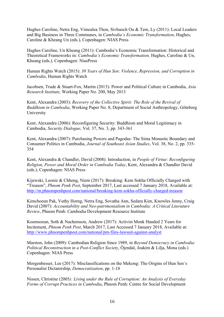Hughes Caroline, Netra Eng, Vimealea Thon, Sivhuoch Ou & Tem, Ly (2011): Local Leaders and Big Business in Three Communes, in *Cambodia´s Economic Transformation*, Hughes, Caroline & Kheang Un (eds.), Copenhagen: NIAS Press

Hughes Caroline, Un Kheang (2011): Cambodia's Economic Transformation: Historical and Theoretical Frameworks in: *Cambodia's Economic Transformation,* Hughes, Caroline & Un, Kheang (eds.)*,* Copenhagen: NiasPress

Human Rights Watch (2015): *30 Years of Hun Sen: Violence, Repression, and Corruption in Cambodia*, Human Rights Watch

Jacobsen, Trude & Stuart-Fox, Martin (2013): Power and Political Culture in Cambodia, *Asia Research Institute*, Working Paper No. 200, May 2013

Kent, Alexandra (2003): *Recovery of the Collective Spirit: The Role of the Revival of Buddhism in Cambodia*, Working Paper No. 8, Department of Social Anthropology, Göteborg University

Kent, Alexandra (2006): Reconfiguring Security: Buddhism and Moral Legitimacy in Cambodia, *Security Dialogue*, Vol. 37, No. 3, pp. 343-361

Kent, Alexandra (2007): Purchasing Powers and Pagodas: The Sima Monastic Boundary and Consumer Politics in Cambodia, *Journal of Southeast Asian Studies*, Vol. 38, No. 2, pp. 335- 354

Kent, Alexandra & Chandler, David (2008): Introduction, in *People of Virtue: Reconfiguring Religion, Power and Moral Order in Cambodia Today*, Kent, Alexandra & Chandler David (eds.), Copenhagen: NIAS Press

Kijewski, Leonie & Chheng, Niem (2017): Breaking: Kem Sokha Officially Charged with "Treason", *Phnom Penh Post*, September 2017, Last accessed 7 January 2018, Available at: http://m.phnompenhpost.com/national/breaking-kem-sokha-officially-charged-treason

Kimchoeun Pak, Vuthy Horng, Netra Eng, Sovatha Ann, Sedara Kim, Knowles Jenny, Craig David (2007): *Accountability and Neo-patrimonialism in Cambodia: A Critical Literature Review*, Phnom Penh: Cambodia Development Resource Institute

Koemsoeun, Soth & Nachemson, Andrew (2017): Activist Monk Handed 2 Years for Incitement, *Phnom Penh Post*, March 2017, Last Accessed 7 January 2018, Available at: http://www.phnompenhpost.com/national/pm-files-lawsuit-against-analyst

Marston, John (2009): Cambodian Religion Since 1989, in *Beyond Democracy in Cambodia: Political Reconstruction in a Post-Conflict Society*, Öjendal, Joakim & Lilja, Mona (eds.) Copenhagen: NIAS Press

Morgenbesser, Lee (2017): Misclassifications on the Mekong: The Origins of Hun Sen´s Personalist Dictatorship, *Democratization*, pp. 1-18

Nissen, Christine (2005*): Living under the Rule of Corruption: An Analysis of Everyday Forms of Corrupt Practices in Cambodia*, Phnom Penh: Centre for Social Development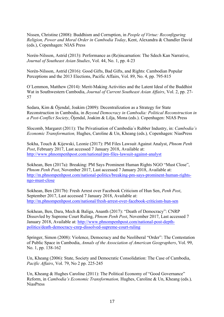Nissen, Christine (2008): Buddhism and Corruption, in *People of Virtue: Reconfiguring Religion, Power and Moral Order in Cambodia Today*, Kent, Alexandra & Chandler David (eds.), Copenhagen: NIAS Press

Norén-Nilsson, Astrid (2013): Performance as (Re)incarnation: The Sdech Kan Narrative, *Journal of Southeast Asian Studies*, Vol. 44, No. 1, pp. 4-23

Norén-Nilsson, Astrid (2016): Good Gifts, Bad Gifts, and Rights: Cambodian Popular Perceptions and the 2013 Elections, Pacific Affairs, Vol. 89, No. 4, pp. 795-815

O´Lemmon, Matthew (2014): Merit-Making Activities and the Latent Ideal of the Buddhist Wat in Southwestern Cambodia, *Journal of Current Southeast Asian Affairs*, Vol. 2, pp. 27- 57

Sedara, Kim & Öjendal, Joakim (2009): Decentralization as a Strategy for State Reconstruction in Cambodia, in *Beyond Democracy in Cambodia: Political Reconstruction in a Post-Conflict Society*, Öjendal, Joakim & Lilja, Mona (eds.). Copenhagen: NIAS Press

Slocomb, Margaret (2011): The Privatisation of Cambodia´s Rubber Industry, in: *Cambodia's Economic Transformation,* Hughes, Caroline & Un, Kheang (eds.)*,* Copenhagen: NiasPress

Sokha, Touch & Kijewski, Leonie (2017): PM Files Lawsuit Against Analyst, *Phnom Penh Post*, February 2017, Last accessed 7 January 2018, Available at: http://www.phnompenhpost.com/national/pm-files-lawsuit-against-analyst

Sokhean, Ben (2017a): Breaking: PM Says Prominent Human Rights NGO "Must Close", *Phnom Penh Post*, November 2017, Last accessed 7 January 2018, Available at: http://m.phnompenhpost.com/national-politics/breaking-pm-says-prominent-human-rightsngo-must-close

Sokhean, Ben (2017b): Fresh Arrest over Facebook Criticism of Hun Sen, *Penh Post*, September 2017, Last accessed 7 January 2018, Available at: http://m.phnompenhpost.com/national/fresh-arrest-over-facebook-criticism-hun-sen

Sokhean, Ben, Dara, Mech & Baliga, Ananth (2017): "Death of Democracy": CNRP Dissovled by Supreme Court Ruling, *Phnom Penh Post*, November 2017, Last accessed 7 January 2018, Available at: http://www.phnompenhpost.com/national-post-depthpolitics/death-democracy-cnrp-dissolved-supreme-court-ruling

Springer, Simon (2008): Violence, Democracy and the Neoliberal "Order": The Contestation of Public Space in Cambodia, *Annals of the Association of American Geographers*, Vol. 99, No. 1, pp. 138-162

Un, Kheang (2006): State, Society and Democratic Consolidation: The Case of Cambodia, *Pacific Affairs*, Vol. 79, No 2 pp. 225-245

Un, Kheang & Hughes Caroline (2011): The Political Economy of "Good Governance" Reform, in *Cambodia's Economic Transformation,* Hughes, Caroline & Un, Kheang (eds.)*,* NiasPress